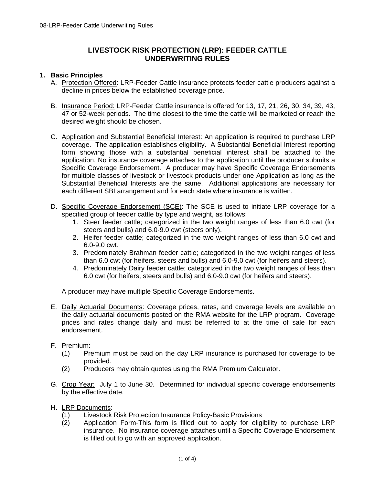# **LIVESTOCK RISK PROTECTION (LRP): FEEDER CATTLE UNDERWRITING RULES**

#### **1. Basic Principles**

- A. Protection Offered: LRP-Feeder Cattle insurance protects feeder cattle producers against a decline in prices below the established coverage price.
- 47 or 52-week periods. The time closest to the time the cattle will be marketed or reach the B. Insurance Period: LRP-Feeder Cattle insurance is offered for 13, 17, 21, 26, 30, 34, 39, 43, desired weight should be chosen.
- C. Application and Substantial Beneficial Interest: An application is required to purchase LRP coverage. The application establishes eligibility. A Substantial Beneficial Interest reporting form showing those with a substantial beneficial interest shall be attached to the application. No insurance coverage attaches to the application until the producer submits a Specific Coverage Endorsement. A producer may have Specific Coverage Endorsements for multiple classes of livestock or livestock products under one Application as long as the Substantial Beneficial Interests are the same. Additional applications are necessary for each different SBI arrangement and for each state where insurance is written.
- D. Specific Coverage Endorsement (SCE): The SCE is used to initiate LRP coverage for a specified group of feeder cattle by type and weight, as follows:
	- 1. Steer feeder cattle; categorized in the two weight ranges of less than 6.0 cwt (for steers and bulls) and 6.0-9.0 cwt (steers only).
	- 2. Heifer feeder cattle; categorized in the two weight ranges of less than 6.0 cwt and 6.0-9.0 cwt.
	- 3. Predominately Brahman feeder cattle; categorized in the two weight ranges of less than 6.0 cwt (for heifers, steers and bulls) and 6.0-9.0 cwt (for heifers and steers).
	- 4. Predominately Dairy feeder cattle; categorized in the two weight ranges of less than 6.0 cwt (for heifers, steers and bulls) and 6.0-9.0 cwt (for heifers and steers).

A producer may have multiple Specific Coverage Endorsements.

E. Daily Actuarial Documents: Coverage prices, rates, and coverage levels are available on the daily actuarial documents posted on the RMA website for the LRP program. Coverage prices and rates change daily and must be referred to at the time of sale for each endorsement.

### F. Premium:

- F. Premium: (1) Premium must be paid on the day LRP insurance is purchased for coverage to be provided.
- (2) Producers may obtain quotes using the RMA Premium Calculator.
- G. Crop Year: July 1 to June 30. Determined for individual specific coverage endorsements by the effective date.
- H. LRP Documents:
	- (1) Livestock Risk Protection Insurance Policy-Basic Provisions
	- (2) Application Form-This form is filled out to apply for eligibility to purchase LRP insurance. No insurance coverage attaches until a Specific Coverage Endorsement is filled out to go with an approved application.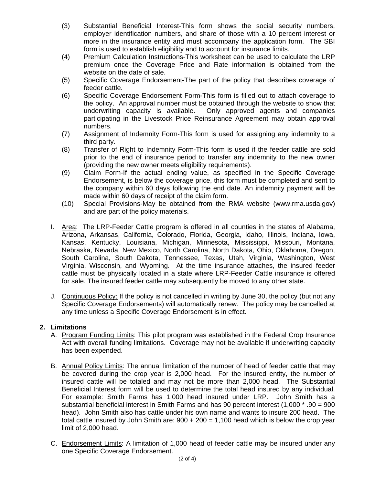- (3) Substantial Beneficial Interest-This form shows the social security numbers, employer identification numbers, and share of those with a 10 percent interest or more in the insurance entity and must accompany the application form. The SBI form is used to establish eligibility and to account for insurance limits.
- (4) Premium Calculation Instructions-This worksheet can be used to calculate the LRP premium once the Coverage Price and Rate information is obtained from the website on the date of sale.
- (5) Specific Coverage Endorsement-The part of the policy that describes coverage of feeder cattle.
- (6) Specific Coverage Endorsement Form-This form is filled out to attach coverage to the policy. An approval number must be obtained through the website to show that underwriting capacity is available. Only approved agents and companies participating in the Livestock Price Reinsurance Agreement may obtain approval numbers.
- (7) Assignment of Indemnity Form-This form is used for assigning any indemnity to a third party.
- (8) Transfer of Right to Indemnity Form-This form is used if the feeder cattle are sold prior to the end of insurance period to transfer any indemnity to the new owner (providing the new owner meets eligibility requirements).
- (9) Claim Form-If the actual ending value, as specified in the Specific Coverage Endorsement, is below the coverage price, this form must be completed and sent to the company within 60 days following the end date. An indemnity payment will be made within 60 days of receipt of the claim form.
- (10) Special Provisions-May be obtained from the RMA website (www.rma.usda.gov) and are part of the policy materials.
- I. Area: The LRP-Feeder Cattle program is offered in all counties in the states of Alabama, Arizona, Arkansas, California, Colorado, Florida, Georgia, Idaho, Illinois, Indiana, Iowa, Kansas, Kentucky, Louisiana, Michigan, Minnesota, Mississippi, Missouri, Montana, Nebraska, Nevada, New Mexico, North Carolina, North Dakota, Ohio, Oklahoma, Oregon, South Carolina, South Dakota, Tennessee, Texas, Utah, Virginia, Washington, West Virginia, Wisconsin, and Wyoming. At the time insurance attaches, the insured feeder cattle must be physically located in a state where LRP-Feeder Cattle insurance is offered for sale. The insured feeder cattle may subsequently be moved to any other state.
- J. Continuous Policy: If the policy is not cancelled in writing by June 30, the policy (but not any Specific Coverage Endorsements) will automatically renew. The policy may be cancelled at any time unless a Specific Coverage Endorsement is in effect.

## **2. Limitations**

- A. Program Funding Limits: This pilot program was established in the Federal Crop Insurance Act with overall funding limitations. Coverage may not be available if underwriting capacity has been expended.
- B. Annual Policy Limits: The annual limitation of the number of head of feeder cattle that may be covered during the crop year is 2,000 head. For the insured entity, the number of insured cattle will be totaled and may not be more than 2,000 head. The Substantial Beneficial Interest form will be used to determine the total head insured by any individual. For example: Smith Farms has 1,000 head insured under LRP. John Smith has a substantial beneficial interest in Smith Farms and has 90 percent interest (1,000 \* .90 = 900 head). John Smith also has cattle under his own name and wants to insure 200 head. The total cattle insured by John Smith are:  $900 + 200 = 1,100$  head which is below the crop year limit of 2,000 head.
- C. Endorsement Limits: A limitation of 1,000 head of feeder cattle may be insured under any one Specific Coverage Endorsement.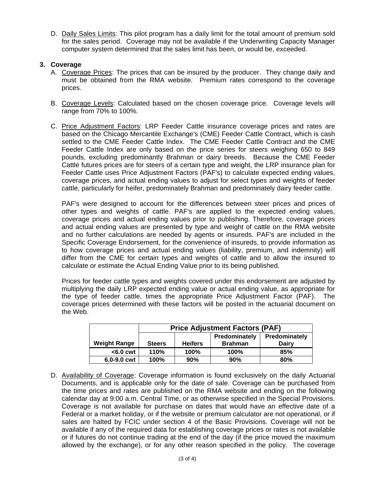D. Daily Sales Limits: This pilot program has a daily limit for the total amount of premium sold for the sales period. Coverage may not be available if the Underwriting Capacity Manager computer system determined that the sales limit has been, or would be, exceeded.

## **3. Coverage**

- A. Coverage Prices: The prices that can be insured by the producer. They change daily and must be obtained from the RMA website. Premium rates correspond to the coverage prices.
- B. Coverage Levels: Calculated based on the chosen coverage price. Coverage levels will range from 70% to 100%.
- C. Price Adjustment Factors: LRP Feeder Cattle insurance coverage prices and rates are based on the Chicago Mercantile Exchange's (CME) Feeder Cattle Contract, which is cash settled to the CME Feeder Cattle Index. The CME Feeder Cattle Contract and the CME Feeder Cattle Index are only based on the price series for steers weighing 650 to 849 pounds, excluding predominantly Brahman or dairy breeds. Because the CME Feeder Cattle futures prices are for steers of a certain type and weight, the LRP insurance plan for Feeder Cattle uses Price Adjustment Factors (PAF's) to calculate expected ending values, coverage prices, and actual ending values to adjust for select types and weights of feeder cattle, particularly for heifer, predominately Brahman and predominately dairy feeder cattle.

calculate or estimate the Actual Ending Value prior to its being published. PAF's were designed to account for the differences between steer prices and prices of other types and weights of cattle. PAF's are applied to the expected ending values, coverage prices and actual ending values prior to publishing. Therefore, coverage prices and actual ending values are presented by type and weight of cattle on the RMA website and no further calculations are needed by agents or insureds. PAF's are included in the Specific Coverage Endorsement, for the convenience of insureds, to provide information as to how coverage prices and actual ending values (liability, premium, and indemnity) will differ from the CME for certain types and weights of cattle and to allow the insured to

Prices for feeder cattle types and weights covered under this endorsement are adjusted by multiplying the daily LRP expected ending value or actual ending value, as appropriate for the type of feeder cattle, times the appropriate Price Adjustment Factor (PAF). The coverage prices determined with these factors will be posted in the actuarial document on the Web.

|                     | <b>Price Adjustment Factors (PAF)</b> |                |                                 |                        |
|---------------------|---------------------------------------|----------------|---------------------------------|------------------------|
| <b>Weight Range</b> | <b>Steers</b>                         | <b>Heifers</b> | Predominately<br><b>Brahman</b> | Predominately<br>Dairy |
| $<$ 6.0 cwt         | 110%                                  | 100%           | <b>100%</b>                     | 85%                    |
| $6.0 - 9.0$ cwt     | 100%                                  | 90%            | 90%                             | 80%                    |

D. Availability of Coverage: Coverage information is found exclusively on the daily Actuarial Documents, and is applicable only for the date of sale. Coverage can be purchased from the time prices and rates are published on the RMA website and ending on the following calendar day at 9:00 a.m. Central Time, or as otherwise specified in the Special Provisions. Coverage is not available for purchase on dates that would have an effective date of a Federal or a market holiday, or if the website or premium calculator are not operational, or if sales are halted by FCIC under section 4 of the Basic Provisions. Coverage will not be available if any of the required data for establishing coverage prices or rates is not available or if futures do not continue trading at the end of the day (if the price moved the maximum allowed by the exchange), or for any other reason specified in the policy. The coverage